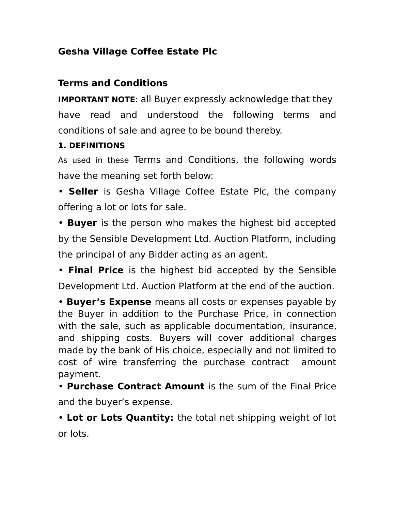## **Gesha Village Coffee Estate Plc**

## **Terms and Conditions**

**IMPORTANT NOTE: all Buyer expressly acknowledge that they** have read and understood the following terms and conditions of sale and agree to be bound thereby.

## **1. DEFINITIONS**

As used in these Terms and Conditions, the following words have the meaning set forth below:

• **Seller** is Gesha Village Coffee Estate Plc, the company offering a lot or lots for sale.

• **Buyer** is the person who makes the highest bid accepted by the Sensible Development Ltd. Auction Platform, including the principal of any Bidder acting as an agent.

• **Final Price** is the highest bid accepted by the Sensible Development Ltd. Auction Platform at the end of the auction.

• **Buyer's Expense** means all costs or expenses payable by the Buyer in addition to the Purchase Price, in connection with the sale, such as applicable documentation, insurance, and shipping costs. Buyers will cover additional charges made by the bank of His choice, especially and not limited to cost of wire transferring the purchase contract amount payment.

• **Purchase Contract Amount** is the sum of the Final Price and the buyer's expense.

• **Lot or Lots Quantity:** the total net shipping weight of lot or lots.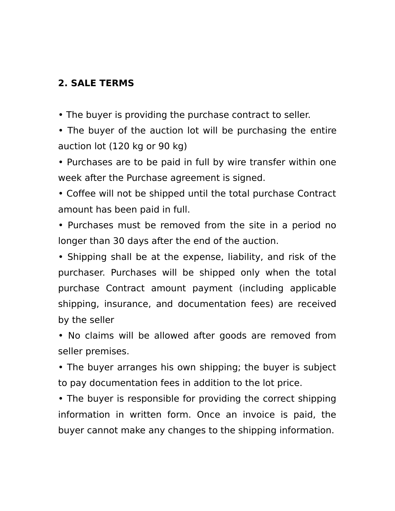## **2. SALE TERMS**

• The buyer is providing the purchase contract to seller.

• The buyer of the auction lot will be purchasing the entire auction lot (120 kg or 90 kg)

• Purchases are to be paid in full by wire transfer within one week after the Purchase agreement is signed.

• Coffee will not be shipped until the total purchase Contract amount has been paid in full.

• Purchases must be removed from the site in a period no longer than 30 days after the end of the auction.

• Shipping shall be at the expense, liability, and risk of the purchaser. Purchases will be shipped only when the total purchase Contract amount payment (including applicable shipping, insurance, and documentation fees) are received by the seller

• No claims will be allowed after goods are removed from seller premises.

• The buyer arranges his own shipping; the buyer is subject to pay documentation fees in addition to the lot price.

• The buyer is responsible for providing the correct shipping information in written form. Once an invoice is paid, the buyer cannot make any changes to the shipping information.